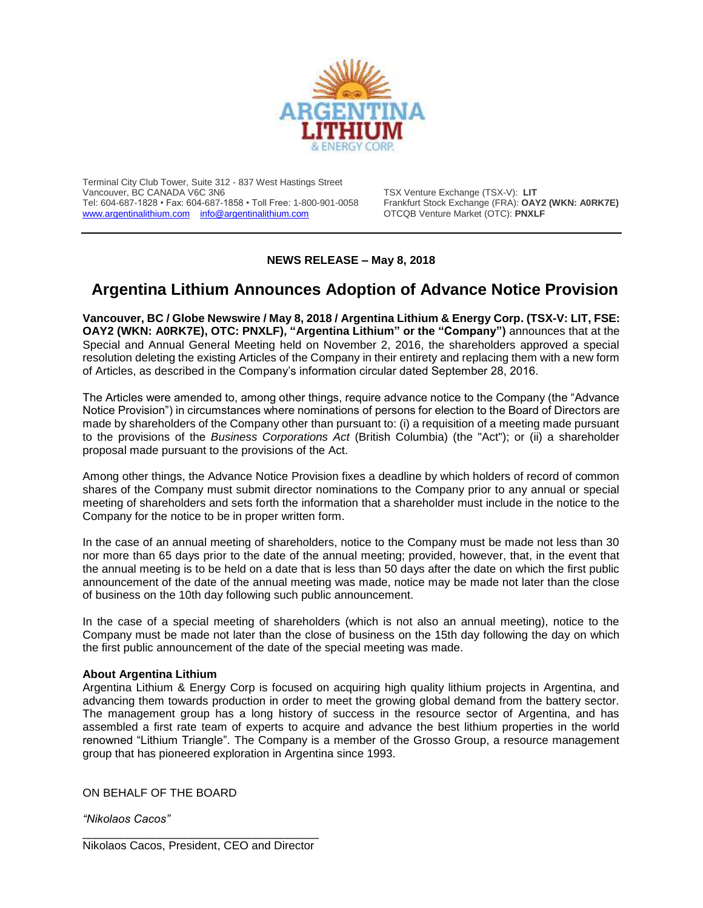

Terminal City Club Tower, Suite 312 - 837 West Hastings Street Vancouver, BC CANADA V6C 3N6<br>Tel: 604-687-1828 • Fax: 604-687-1858 • Toll Free: 1-800-901-0058 Frankfurt Stock Exchange (FRA): **OAY2 (WKN: A0RK7E)** Tel: 604-687-1828 • Fax: 604-687-1858 • Toll Free: 1-800-901-0058 Frankfurt Stock Exchange (FRA): OAY2<br>
www.argentinalithium.com info@argentinalithium.com OTCQB Venture Market (OTC): PNXLF [www.argentinalithium.com](http://www.argentinalithium.com/) [info@argentinalithium.com](mailto:info@argentinalithium.com)

## **NEWS RELEASE – May 8, 2018**

## **Argentina Lithium Announces Adoption of Advance Notice Provision**

**Vancouver, BC / Globe Newswire / May 8, 2018 / Argentina Lithium & Energy Corp. (TSX-V: LIT, FSE: OAY2 (WKN: A0RK7E), OTC: PNXLF), "Argentina Lithium" or the "Company")** announces that at the Special and Annual General Meeting held on November 2, 2016, the shareholders approved a special resolution deleting the existing Articles of the Company in their entirety and replacing them with a new form of Articles, as described in the Company's information circular dated September 28, 2016.

The Articles were amended to, among other things, require advance notice to the Company (the "Advance Notice Provision") in circumstances where nominations of persons for election to the Board of Directors are made by shareholders of the Company other than pursuant to: (i) a requisition of a meeting made pursuant to the provisions of the *Business Corporations Act* (British Columbia) (the "Act"); or (ii) a shareholder proposal made pursuant to the provisions of the Act.

Among other things, the Advance Notice Provision fixes a deadline by which holders of record of common shares of the Company must submit director nominations to the Company prior to any annual or special meeting of shareholders and sets forth the information that a shareholder must include in the notice to the Company for the notice to be in proper written form.

In the case of an annual meeting of shareholders, notice to the Company must be made not less than 30 nor more than 65 days prior to the date of the annual meeting; provided, however, that, in the event that the annual meeting is to be held on a date that is less than 50 days after the date on which the first public announcement of the date of the annual meeting was made, notice may be made not later than the close of business on the 10th day following such public announcement.

In the case of a special meeting of shareholders (which is not also an annual meeting), notice to the Company must be made not later than the close of business on the 15th day following the day on which the first public announcement of the date of the special meeting was made.

## **About Argentina Lithium**

Argentina Lithium & Energy Corp is focused on acquiring high quality lithium projects in Argentina, and advancing them towards production in order to meet the growing global demand from the battery sector. The management group has a long history of success in the resource sector of Argentina, and has assembled a first rate team of experts to acquire and advance the best lithium properties in the world renowned "Lithium Triangle". The Company is a member of the Grosso Group, a resource management group that has pioneered exploration in Argentina since 1993.

ON BEHALF OF THE BOARD

*"Nikolaos Cacos"*

\_\_\_\_\_\_\_\_\_\_\_\_\_\_\_\_\_\_\_\_\_\_\_\_\_\_\_\_\_\_\_\_\_\_\_\_\_ Nikolaos Cacos, President, CEO and Director